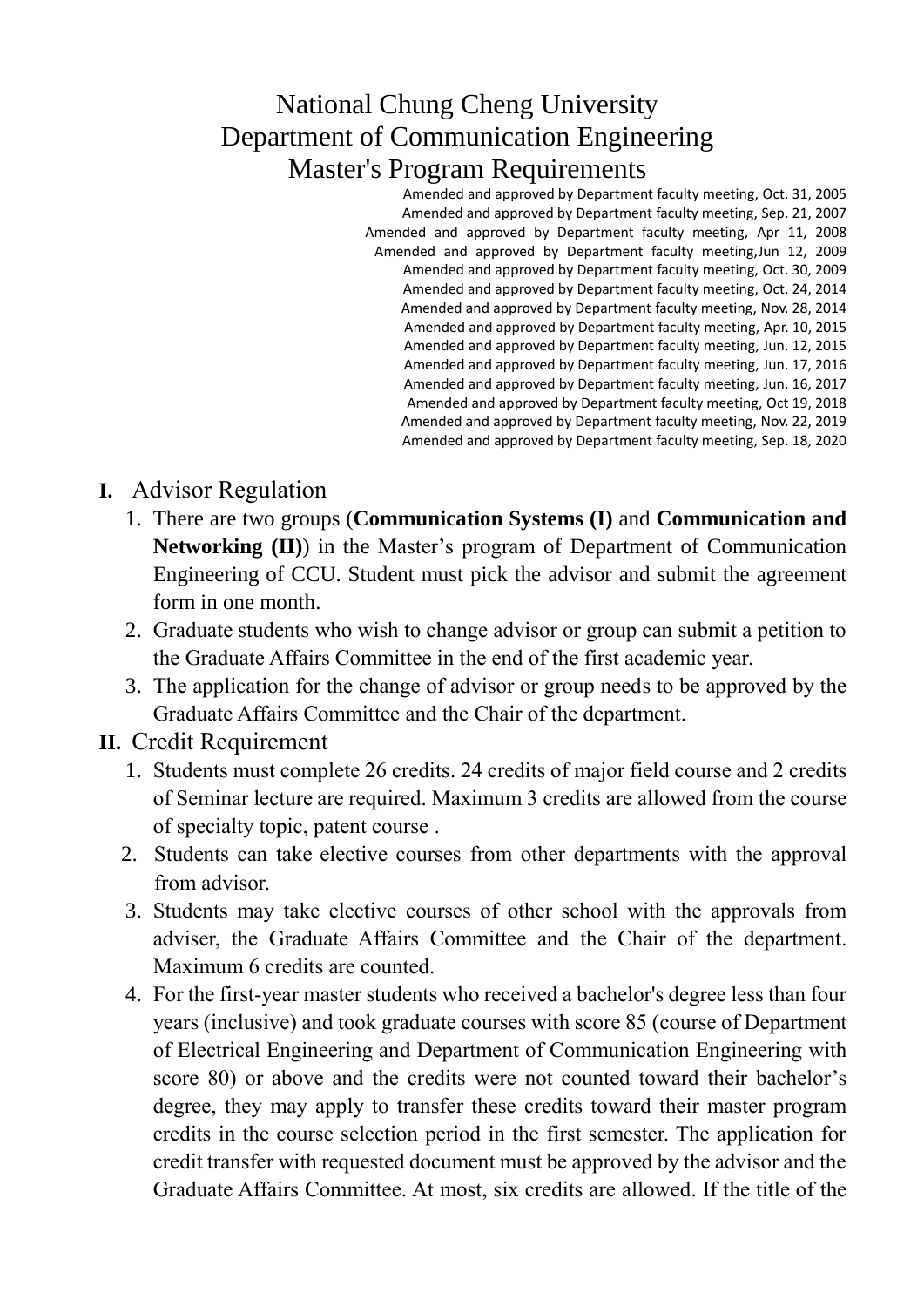### National Chung Cheng University Department of Communication Engineering Master's Program Requirements

Amended and approved by Department faculty meeting, Oct. 31, 2005 Amended and approved by Department faculty meeting, Sep. 21, 2007 Amended and approved by Department faculty meeting, Apr 11, 2008 Amended and approved by Department faculty meeting,Jun 12, 2009 Amended and approved by Department faculty meeting, Oct. 30, 2009 Amended and approved by Department faculty meeting, Oct. 24, 2014 Amended and approved by Department faculty meeting, Nov. 28, 2014 Amended and approved by Department faculty meeting, Apr. 10, 2015 Amended and approved by Department faculty meeting, Jun. 12, 2015 Amended and approved by Department faculty meeting, Jun. 17, 2016 Amended and approved by Department faculty meeting, Jun. 16, 2017 Amended and approved by Department faculty meeting, Oct 19, 2018 Amended and approved by Department faculty meeting, Nov. 22, 2019 Amended and approved by Department faculty meeting, Sep. 18, 2020

### **I.** Advisor Regulation

- 1. There are two groups (**Communication Systems (I)** and **Communication and Networking (II)**) in the Master's program of Department of Communication Engineering of CCU. Student must pick the advisor and submit the agreement form in one month.
- 2. Graduate students who wish to change advisor or group can submit a petition to the Graduate Affairs Committee in the end of the first academic year.
- 3. The application for the change of advisor or group needs to be approved by the Graduate Affairs Committee and the Chair of the department.

#### **II.** Credit Requirement

- 1. Students must complete 26 credits. 24 credits of major field course and 2 credits of Seminar lecture are required. Maximum 3 credits are allowed from the course of specialty topic, patent course .
- 2. Students can take elective courses from other departments with the approval from advisor.
- 3. Students may take elective courses of other school with the approvals from adviser, the Graduate Affairs Committee and the Chair of the department. Maximum 6 credits are counted.
- 4. For the first-year master students who received a bachelor's degree less than four years (inclusive) and took graduate courses with score 85 (course of Department of Electrical Engineering and Department of Communication Engineering with score 80) or above and the credits were not counted toward their bachelor's degree, they may apply to transfer these credits toward their master program credits in the course selection period in the first semester. The application for credit transfer with requested document must be approved by the advisor and the Graduate Affairs Committee. At most, six credits are allowed. If the title of the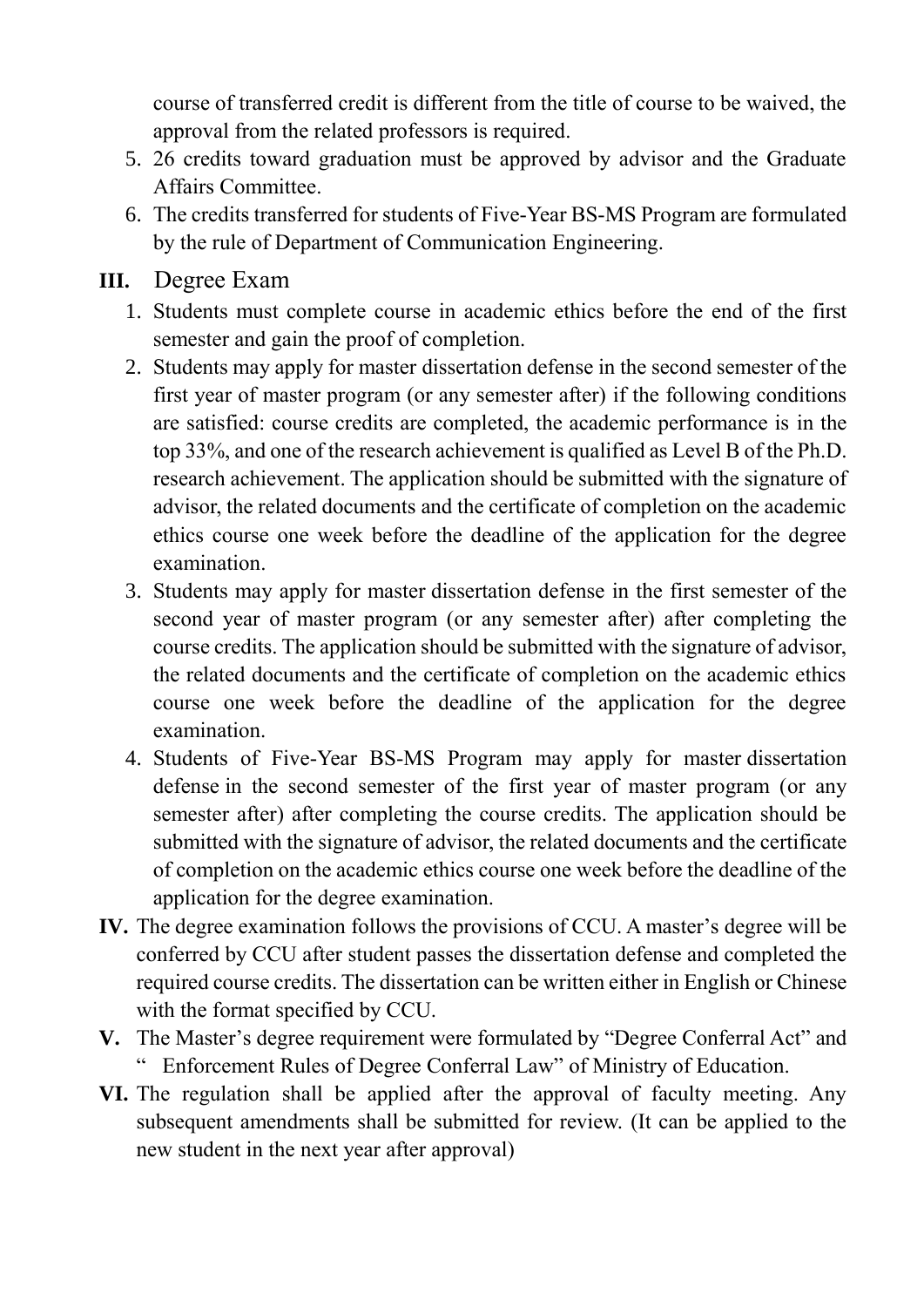course of transferred credit is different from the title of course to be waived, the approval from the related professors is required.

- 5. 26 credits toward graduation must be approved by advisor and the Graduate Affairs Committee.
- 6. The credits transferred for students of Five-Year BS-MS Program are formulated by the rule of Department of Communication Engineering.

#### **III.** Degree Exam

- 1. Students must complete course in academic ethics before the end of the first semester and gain the proof of completion.
- 2. Students may apply for master dissertation defense in the second semester of the first year of master program (or any semester after) if the following conditions are satisfied: course credits are completed, the academic performance is in the top 33%, and one of the research achievement is qualified as Level B of the Ph.D. research achievement. The application should be submitted with the signature of advisor, the related documents and the certificate of completion on the academic ethics course one week before the deadline of the application for the degree examination.
- 3. Students may apply for master dissertation defense in the first semester of the second year of master program (or any semester after) after completing the course credits. The application should be submitted with the signature of advisor, the related documents and the certificate of completion on the academic ethics course one week before the deadline of the application for the degree examination.
- 4. Students of Five-Year BS-MS Program may apply for master dissertation defense in the second semester of the first year of master program (or any semester after) after completing the course credits. The application should be submitted with the signature of advisor, the related documents and the certificate of completion on the academic ethics course one week before the deadline of the application for the degree examination.
- **IV.** The degree examination follows the provisions of CCU. A master's degree will be conferred by CCU after student passes the dissertation defense and completed the required course credits. The dissertation can be written either in English or Chinese with the format specified by CCU.
- **V.** The Master's degree requirement were formulated by "Degree Conferral Act" and " Enforcement Rules of Degree Conferral Law" of Ministry of Education.
- **VI.** The regulation shall be applied after the approval of faculty meeting. Any subsequent amendments shall be submitted for review. (It can be applied to the new student in the next year after approval)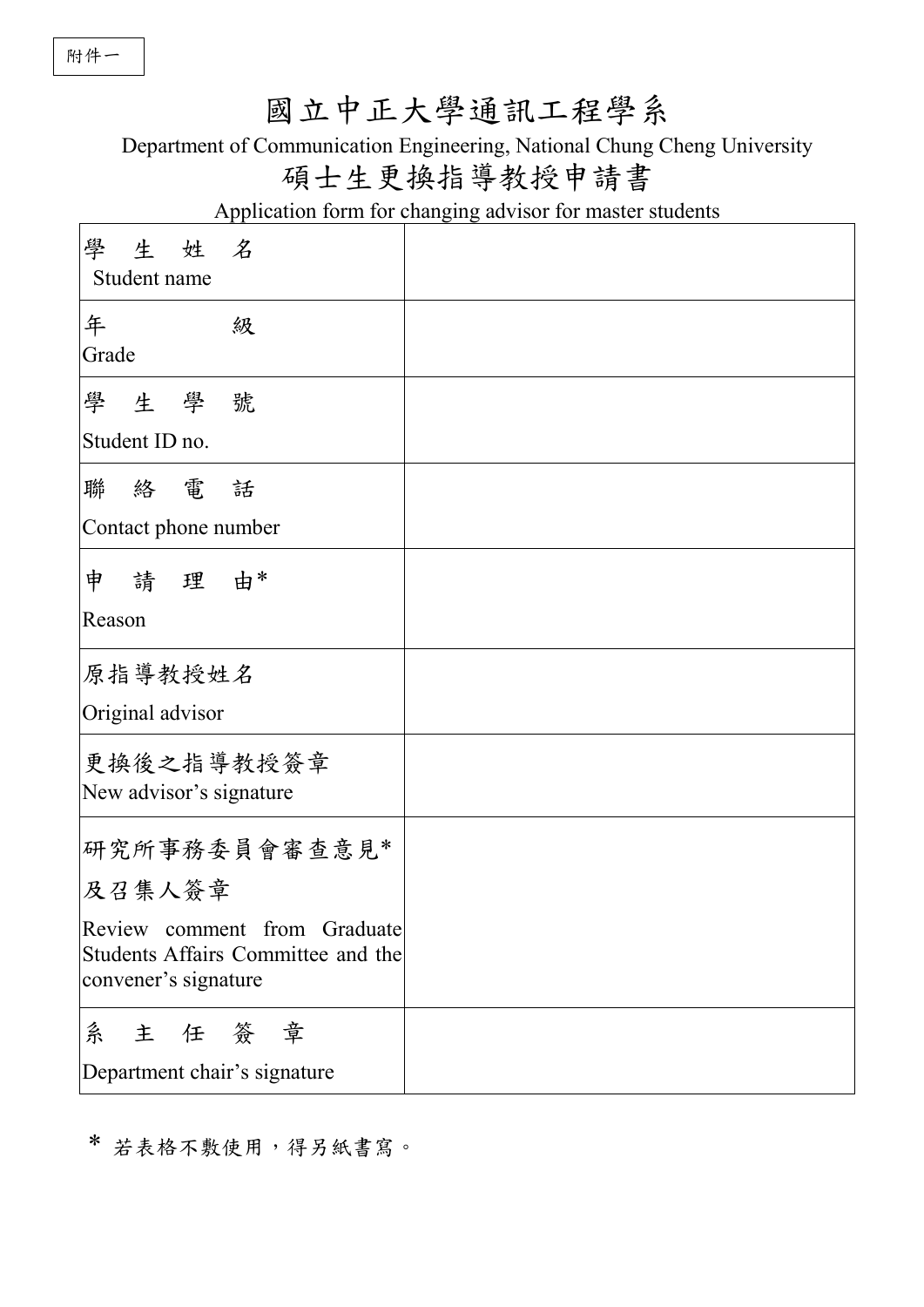## 國立中正大學通訊工程學系

Department of Communication Engineering, National Chung Cheng University

### 碩士生更換指導教授申請書

Application form for changing advisor for master students

| 學生姓名<br>Student name                                                                       |  |
|--------------------------------------------------------------------------------------------|--|
| 年<br>級<br>Grade                                                                            |  |
| 學生學號                                                                                       |  |
| Student ID no.                                                                             |  |
| 聯絡電話                                                                                       |  |
| Contact phone number                                                                       |  |
| 申 請 理 由*                                                                                   |  |
| Reason                                                                                     |  |
| 原指導教授姓名                                                                                    |  |
| Original advisor                                                                           |  |
| 更换後之指導教授簽章<br>New advisor's signature                                                      |  |
| 研究所事務委員會審查意見*                                                                              |  |
| 及召集人簽章                                                                                     |  |
| Review comment from Graduate<br>Students Affairs Committee and the<br>convener's signature |  |
| 主任簽章<br>糸<br>Department chair's signature                                                  |  |

\* 若表格不敷使用,得另紙書寫。